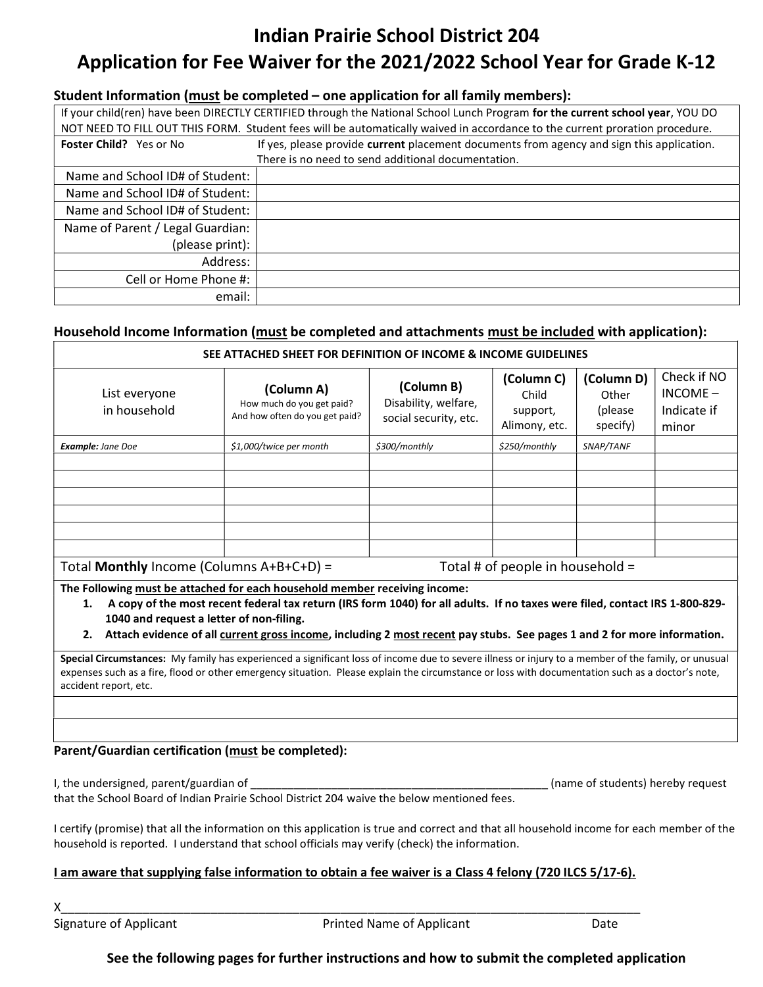# Indian Prairie School District 204 Application for Fee Waiver for the 2021/2022 School Year for Grade K-12

#### Student Information (must be completed – one application for all family members):

| If your child(ren) have been DIRECTLY CERTIFIED through the National School Lunch Program for the current school year, YOU DO<br>NOT NEED TO FILL OUT THIS FORM. Student fees will be automatically waived in accordance to the current proration procedure. |                                                                                           |  |  |  |  |  |  |
|--------------------------------------------------------------------------------------------------------------------------------------------------------------------------------------------------------------------------------------------------------------|-------------------------------------------------------------------------------------------|--|--|--|--|--|--|
| <b>Foster Child?</b> Yes or No                                                                                                                                                                                                                               | If yes, please provide current placement documents from agency and sign this application. |  |  |  |  |  |  |
| There is no need to send additional documentation.                                                                                                                                                                                                           |                                                                                           |  |  |  |  |  |  |
| Name and School ID# of Student:                                                                                                                                                                                                                              |                                                                                           |  |  |  |  |  |  |
| Name and School ID# of Student:                                                                                                                                                                                                                              |                                                                                           |  |  |  |  |  |  |
| Name and School ID# of Student:                                                                                                                                                                                                                              |                                                                                           |  |  |  |  |  |  |
| Name of Parent / Legal Guardian:                                                                                                                                                                                                                             |                                                                                           |  |  |  |  |  |  |
| (please print):                                                                                                                                                                                                                                              |                                                                                           |  |  |  |  |  |  |
| Address:                                                                                                                                                                                                                                                     |                                                                                           |  |  |  |  |  |  |
| Cell or Home Phone #:                                                                                                                                                                                                                                        |                                                                                           |  |  |  |  |  |  |
| email:                                                                                                                                                                                                                                                       |                                                                                           |  |  |  |  |  |  |

## Household Income Information (must be completed and attachments must be included with application):

| SEE ATTACHED SHEET FOR DEFINITION OF INCOME & INCOME GUIDELINES                                                                                                                                            |                                                                           |                                                             |                                                  |                                            |                                                   |  |  |
|------------------------------------------------------------------------------------------------------------------------------------------------------------------------------------------------------------|---------------------------------------------------------------------------|-------------------------------------------------------------|--------------------------------------------------|--------------------------------------------|---------------------------------------------------|--|--|
| List everyone<br>in household                                                                                                                                                                              | (Column A)<br>How much do you get paid?<br>And how often do you get paid? | (Column B)<br>Disability, welfare,<br>social security, etc. | (Column C)<br>Child<br>support,<br>Alimony, etc. | (Column D)<br>Other<br>(please<br>specify) | Check if NO<br>$INCOME -$<br>Indicate if<br>minor |  |  |
| Example: Jane Doe                                                                                                                                                                                          | \$1,000/twice per month                                                   | \$300/monthly                                               | \$250/monthly                                    | SNAP/TANF                                  |                                                   |  |  |
|                                                                                                                                                                                                            |                                                                           |                                                             |                                                  |                                            |                                                   |  |  |
|                                                                                                                                                                                                            |                                                                           |                                                             |                                                  |                                            |                                                   |  |  |
|                                                                                                                                                                                                            |                                                                           |                                                             |                                                  |                                            |                                                   |  |  |
|                                                                                                                                                                                                            |                                                                           |                                                             |                                                  |                                            |                                                   |  |  |
|                                                                                                                                                                                                            |                                                                           |                                                             |                                                  |                                            |                                                   |  |  |
|                                                                                                                                                                                                            |                                                                           |                                                             |                                                  |                                            |                                                   |  |  |
| Total Monthly Income (Columns A+B+C+D) =<br>Total # of people in household =                                                                                                                               |                                                                           |                                                             |                                                  |                                            |                                                   |  |  |
| The Following must be attached for each household member receiving income:<br>1 A convect the most recent foderal toy return (IBC form 1040) for all adults. If no tayes were filed, contact IBC 1,000,000 |                                                                           |                                                             |                                                  |                                            |                                                   |  |  |

- 1. A copy of the most recent federal tax return (IRS form 1040) for all adults. If no taxes were filed, contact IRS 1-800-829- 1040 and request a letter of non-filing.
- 2. Attach evidence of all current gross income, including 2 most recent pay stubs. See pages 1 and 2 for more information.

Special Circumstances: My family has experienced a significant loss of income due to severe illness or injury to a member of the family, or unusual expenses such as a fire, flood or other emergency situation. Please explain the circumstance or loss with documentation such as a doctor's note, accident report, etc.

## Parent/Guardian certification (must be completed):

I, the undersigned, parent/guardian of \_\_\_\_\_\_\_\_\_\_\_\_\_\_\_\_\_\_\_\_\_\_\_\_\_\_\_\_\_\_\_\_\_\_\_\_\_\_\_\_\_\_\_\_\_\_\_\_ (name of students) hereby request

that the School Board of Indian Prairie School District 204 waive the below mentioned fees.

I certify (promise) that all the information on this application is true and correct and that all household income for each member of the household is reported. I understand that school officials may verify (check) the information.

#### I am aware that supplying false information to obtain a fee waiver is a Class 4 felony (720 ILCS 5/17-6).

X\_\_\_\_\_\_\_\_\_\_\_\_\_\_\_\_\_\_\_\_\_\_\_\_\_\_\_\_\_\_\_\_\_\_\_\_\_\_\_\_\_\_\_\_\_\_\_\_\_\_\_\_\_\_\_\_\_\_\_\_\_\_\_\_\_\_\_\_\_\_\_\_\_\_\_\_\_\_\_\_\_\_\_\_\_

Signature of Applicant **Printed Name of Applicant** Date

See the following pages for further instructions and how to submit the completed application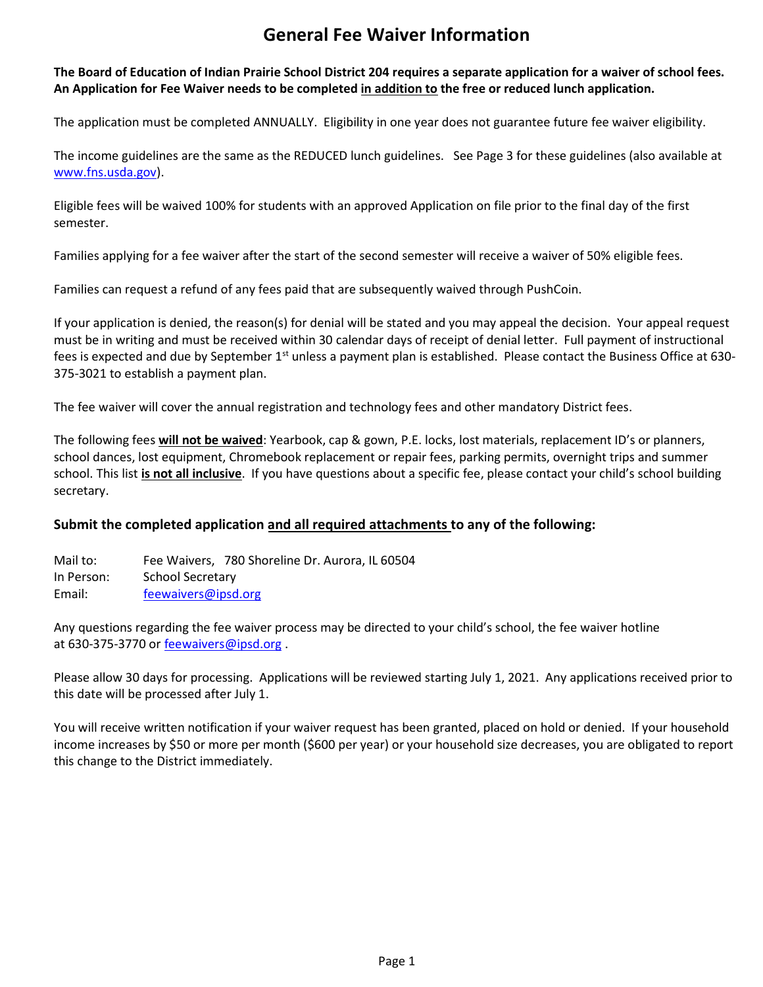## General Fee Waiver Information

## The Board of Education of Indian Prairie School District 204 requires a separate application for a waiver of school fees. An Application for Fee Waiver needs to be completed in addition to the free or reduced lunch application.

The application must be completed ANNUALLY. Eligibility in one year does not guarantee future fee waiver eligibility.

The income guidelines are the same as the REDUCED lunch guidelines. See Page 3 for these guidelines (also available at www.fns.usda.gov).

Eligible fees will be waived 100% for students with an approved Application on file prior to the final day of the first semester.

Families applying for a fee waiver after the start of the second semester will receive a waiver of 50% eligible fees.

Families can request a refund of any fees paid that are subsequently waived through PushCoin.

If your application is denied, the reason(s) for denial will be stated and you may appeal the decision. Your appeal request must be in writing and must be received within 30 calendar days of receipt of denial letter. Full payment of instructional fees is expected and due by September  $1<sup>st</sup>$  unless a payment plan is established. Please contact the Business Office at 630-375-3021 to establish a payment plan.

The fee waiver will cover the annual registration and technology fees and other mandatory District fees.

The following fees will not be waived: Yearbook, cap & gown, P.E. locks, lost materials, replacement ID's or planners, school dances, lost equipment, Chromebook replacement or repair fees, parking permits, overnight trips and summer school. This list is not all inclusive. If you have questions about a specific fee, please contact your child's school building secretary.

## Submit the completed application <u>and all required attachments</u> to any of the following:

Mail to: Fee Waivers, 780 Shoreline Dr. Aurora, IL 60504 In Person: School Secretary Email: feewaivers@ipsd.org

Any questions regarding the fee waiver process may be directed to your child's school, the fee waiver hotline at 630-375-3770 or feewaivers@ipsd.org.

Please allow 30 days for processing. Applications will be reviewed starting July 1, 2021. Any applications received prior to this date will be processed after July 1.

You will receive written notification if your waiver request has been granted, placed on hold or denied. If your household income increases by \$50 or more per month (\$600 per year) or your household size decreases, you are obligated to report this change to the District immediately.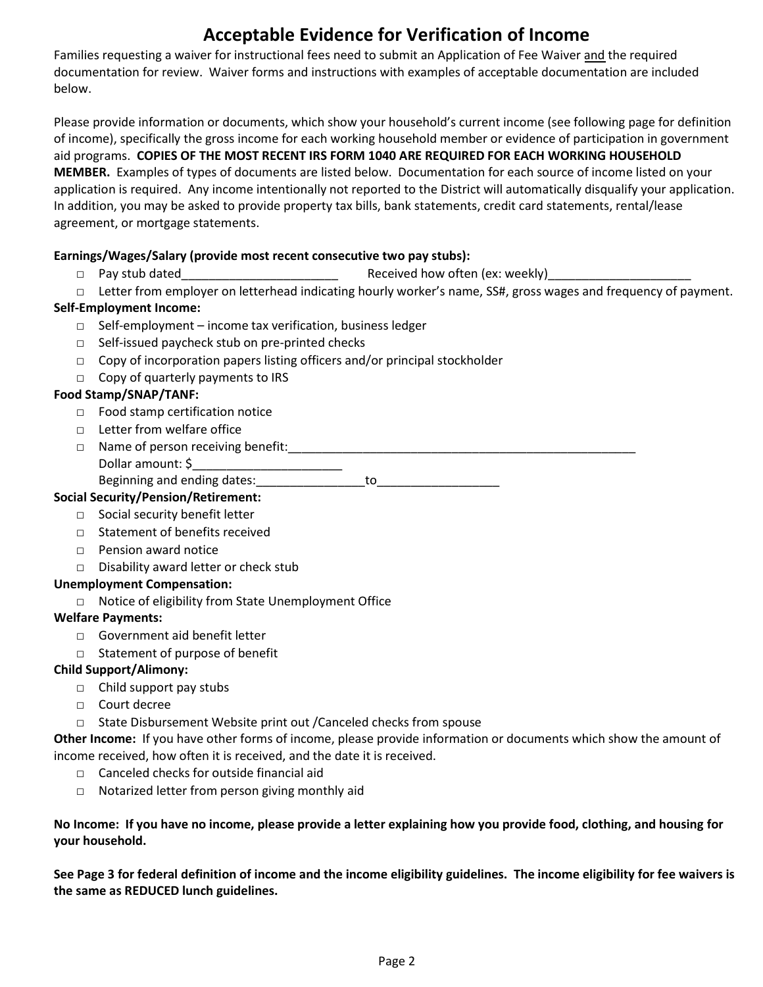## Acceptable Evidence for Verification of Income

Families requesting a waiver for instructional fees need to submit an Application of Fee Waiver and the required documentation for review. Waiver forms and instructions with examples of acceptable documentation are included below.

Please provide information or documents, which show your household's current income (see following page for definition of income), specifically the gross income for each working household member or evidence of participation in government aid programs. COPIES OF THE MOST RECENT IRS FORM 1040 ARE REQUIRED FOR EACH WORKING HOUSEHOLD MEMBER. Examples of types of documents are listed below. Documentation for each source of income listed on your application is required. Any income intentionally not reported to the District will automatically disqualify your application. In addition, you may be asked to provide property tax bills, bank statements, credit card statements, rental/lease agreement, or mortgage statements.

#### Earnings/Wages/Salary (provide most recent consecutive two pay stubs):

- □ Pay stub dated\_\_\_\_\_\_\_\_\_\_\_\_\_\_\_\_\_\_\_\_\_\_\_ Received how often (ex: weekly)\_\_\_\_\_\_\_\_\_\_\_\_\_\_\_\_\_\_\_\_\_
- □ Letter from employer on letterhead indicating hourly worker's name, SS#, gross wages and frequency of payment.

## Self-Employment Income:

- □ Self-employment income tax verification, business ledger
- □ Self-issued paycheck stub on pre-printed checks
- □ Copy of incorporation papers listing officers and/or principal stockholder
- □ Copy of quarterly payments to IRS

## Food Stamp/SNAP/TANF:

- □ Food stamp certification notice
- □ Letter from welfare office
- □ Name of person receiving benefit:

Dollar amount: \$\_\_\_\_\_\_\_\_\_\_\_\_\_\_\_\_\_\_\_\_\_\_ Beginning and ending dates: ending to be a state of to

## Social Security/Pension/Retirement:

- □ Social security benefit letter
- □ Statement of benefits received
- □ Pension award notice
- □ Disability award letter or check stub

#### Unemployment Compensation:

□ Notice of eligibility from State Unemployment Office

#### Welfare Payments:

- □ Government aid benefit letter
- □ Statement of purpose of benefit

#### Child Support/Alimony:

- □ Child support pay stubs
- □ Court decree
- □ State Disbursement Website print out /Canceled checks from spouse

Other Income: If you have other forms of income, please provide information or documents which show the amount of income received, how often it is received, and the date it is received.

- □ Canceled checks for outside financial aid
- □ Notarized letter from person giving monthly aid

#### No Income: If you have no income, please provide a letter explaining how you provide food, clothing, and housing for your household.

See Page 3 for federal definition of income and the income eligibility guidelines. The income eligibility for fee waivers is the same as REDUCED lunch guidelines.